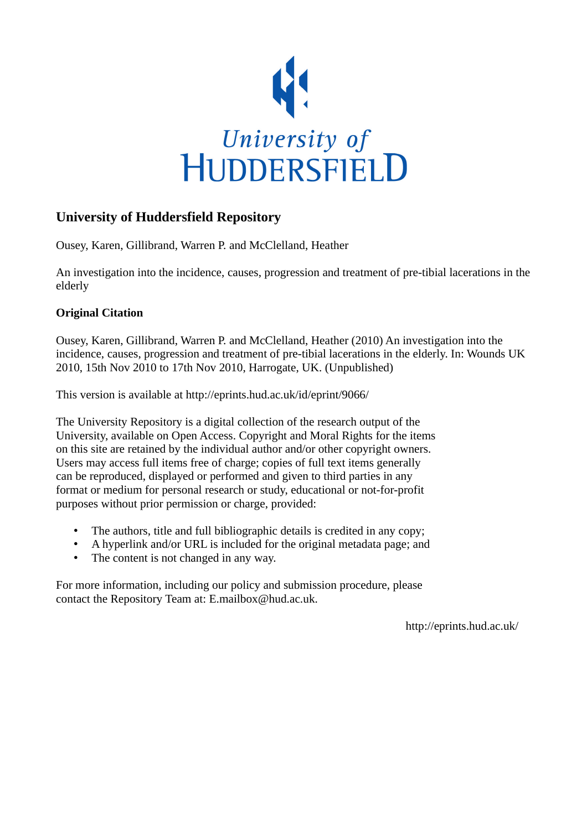

#### **University of Huddersfield Repository**

Ousey, Karen, Gillibrand, Warren P. and McClelland, Heather

An investigation into the incidence, causes, progression and treatment of pre-tibial lacerations in the elderly

#### **Original Citation**

Ousey, Karen, Gillibrand, Warren P. and McClelland, Heather (2010) An investigation into the incidence, causes, progression and treatment of pre-tibial lacerations in the elderly. In: Wounds UK 2010, 15th Nov 2010 to 17th Nov 2010, Harrogate, UK. (Unpublished)

This version is available at http://eprints.hud.ac.uk/id/eprint/9066/

The University Repository is a digital collection of the research output of the University, available on Open Access. Copyright and Moral Rights for the items on this site are retained by the individual author and/or other copyright owners. Users may access full items free of charge; copies of full text items generally can be reproduced, displayed or performed and given to third parties in any format or medium for personal research or study, educational or not-for-profit purposes without prior permission or charge, provided:

- The authors, title and full bibliographic details is credited in any copy;
- A hyperlink and/or URL is included for the original metadata page; and
- The content is not changed in any way.

For more information, including our policy and submission procedure, please contact the Repository Team at: E.mailbox@hud.ac.uk.

http://eprints.hud.ac.uk/